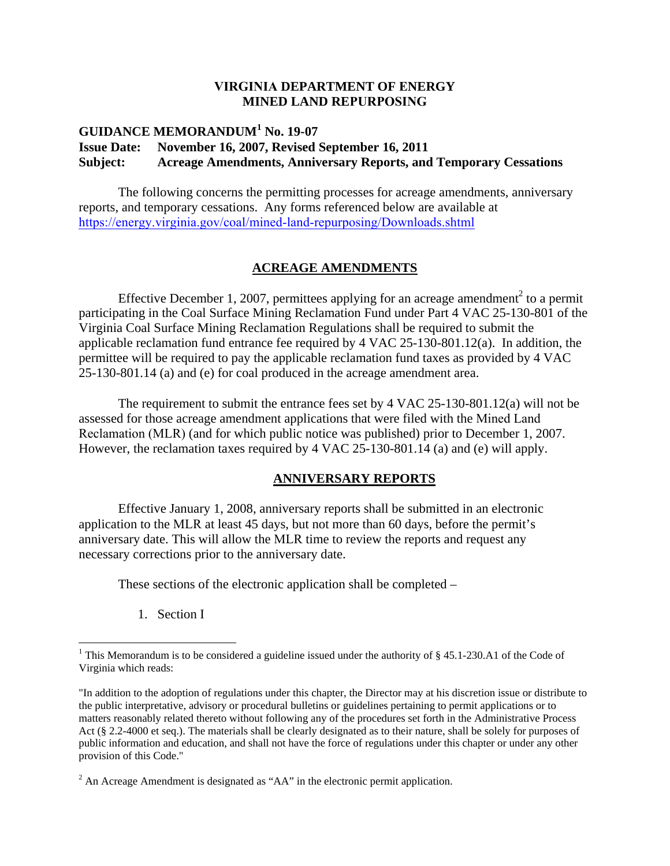#### **VIRGINIA DEPARTMENT OF ENERGY MINED LAND REPURPOSING**

# **GUIDANCE MEMORANDUM<sup>1</sup> No. 19-07 Issue Date: November 16, 2007, Revised September 16, 2011 Subject: Acreage Amendments, Anniversary Reports, and Temporary Cessations**

The following concerns the permitting processes for acreage amendments, anniversary reports, and temporary cessations. Any forms referenced below are available at https://energy.virginia.gov/coal/mined-land-repurposing/Downloads.shtml

#### **ACREAGE AMENDMENTS**

Effective December 1, 2007, permittees applying for an acreage amendment<sup>2</sup> to a permit participating in the Coal Surface Mining Reclamation Fund under Part 4 VAC 25-130-801 of the Virginia Coal Surface Mining Reclamation Regulations shall be required to submit the applicable reclamation fund entrance fee required by 4 VAC 25-130-801.12(a). In addition, the permittee will be required to pay the applicable reclamation fund taxes as provided by 4 VAC 25-130-801.14 (a) and (e) for coal produced in the acreage amendment area.

The requirement to submit the entrance fees set by 4 VAC 25-130-801.12(a) will not be assessed for those acreage amendment applications that were filed with the Mined Land Reclamation (MLR) (and for which public notice was published) prior to December 1, 2007. However, the reclamation taxes required by 4 VAC 25-130-801.14 (a) and (e) will apply.

#### **ANNIVERSARY REPORTS**

Effective January 1, 2008, anniversary reports shall be submitted in an electronic application to the MLR at least 45 days, but not more than 60 days, before the permit's anniversary date. This will allow the MLR time to review the reports and request any necessary corrections prior to the anniversary date.

These sections of the electronic application shall be completed –

1. Section I

<sup>&</sup>lt;sup>1</sup> This Memorandum is to be considered a guideline issued under the authority of  $\S$  45.1-230.A1 of the Code of Virginia which reads:

<sup>&</sup>quot;In addition to the adoption of regulations under this chapter, the Director may at his discretion issue or distribute to the public interpretative, advisory or procedural bulletins or guidelines pertaining to permit applications or to matters reasonably related thereto without following any of the procedures set forth in the Administrative Process Act (§ 2.2-4000 et seq.). The materials shall be clearly designated as to their nature, shall be solely for purposes of public information and education, and shall not have the force of regulations under this chapter or under any other provision of this Code."

 $2^2$  An Acreage Amendment is designated as "AA" in the electronic permit application.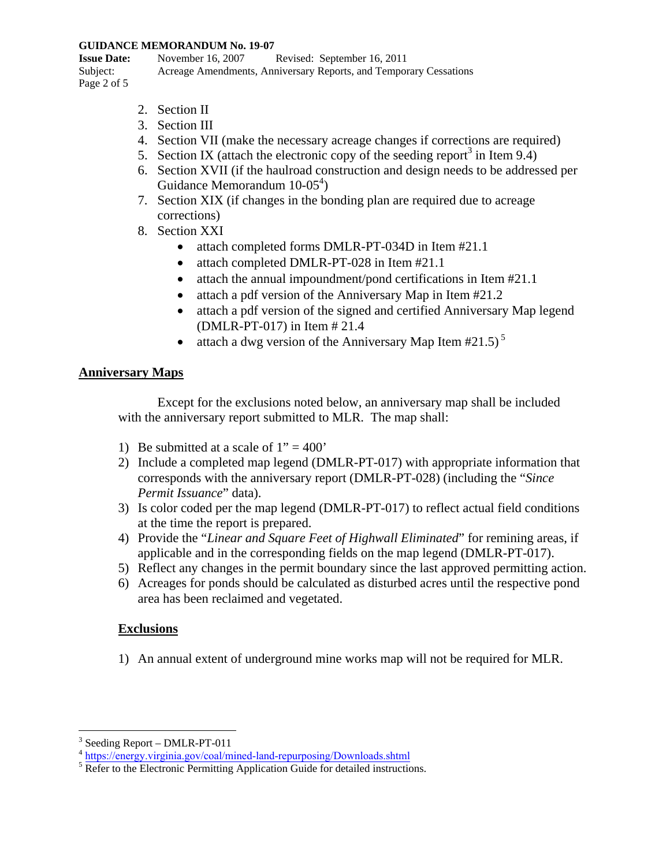#### **GUIDANCE MEMORANDUM No. 19-07**

**Issue Date:** November 16, 2007 Revised: September 16, 2011 Subject: Acreage Amendments, Anniversary Reports, and Temporary Cessations Page 2 of 5

- 2. Section II
- 3. Section III
- 4. Section VII (make the necessary acreage changes if corrections are required)
- 5. Section IX (attach the electronic copy of the seeding report<sup>3</sup> in Item 9.4)
- 6. Section XVII (if the haulroad construction and design needs to be addressed per Guidance Memorandum  $10-05^4$ )
- 7. Section XIX (if changes in the bonding plan are required due to acreage corrections)
- 8. Section XXI
	- attach completed forms DMLR-PT-034D in Item #21.1
	- attach completed DMLR-PT-028 in Item #21.1
	- attach the annual impoundment/pond certifications in Item #21.1
	- attach a pdf version of the Anniversary Map in Item #21.2
	- attach a pdf version of the signed and certified Anniversary Map legend (DMLR-PT-017) in Item # 21.4
	- attach a dwg version of the Anniversary Map Item  $#21.5$ )<sup>5</sup>

# **Anniversary Maps**

Except for the exclusions noted below, an anniversary map shall be included with the anniversary report submitted to MLR. The map shall:

- 1) Be submitted at a scale of  $1" = 400"$
- 2) Include a completed map legend (DMLR-PT-017) with appropriate information that corresponds with the anniversary report (DMLR-PT-028) (including the "*Since Permit Issuance*" data).
- 3) Is color coded per the map legend (DMLR-PT-017) to reflect actual field conditions at the time the report is prepared.
- 4) Provide the "*Linear and Square Feet of Highwall Eliminated*" for remining areas, if applicable and in the corresponding fields on the map legend (DMLR-PT-017).
- 5) Reflect any changes in the permit boundary since the last approved permitting action.
- 6) Acreages for ponds should be calculated as disturbed acres until the respective pond area has been reclaimed and vegetated.

# **Exclusions**

1) An annual extent of underground mine works map will not be required for MLR.

<sup>&</sup>lt;sup>3</sup> Seeding Report – DMLR-PT-011

<sup>&</sup>lt;sup>4</sup> https://energy.virginia.gov/coal/mined-land-repurposing/Downloads.shtml

 $5 \text{ Refer to the Electronic Permitting Application Guide for detailed instructions.}$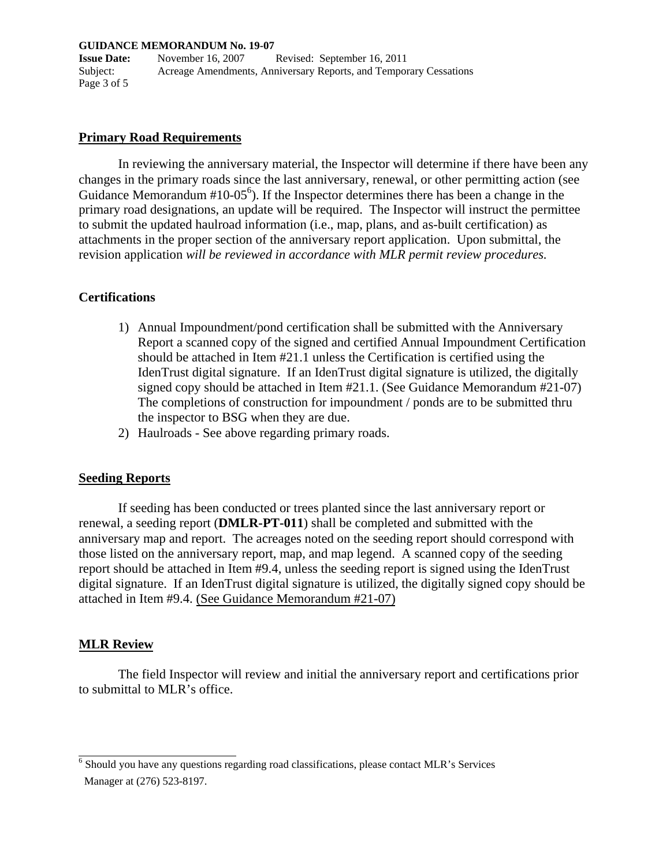#### **GUIDANCE MEMORANDUM No. 19-07**

**Issue Date:** November 16, 2007 Revised: September 16, 2011 Subject: Acreage Amendments, Anniversary Reports, and Temporary Cessations Page 3 of 5

#### **Primary Road Requirements**

In reviewing the anniversary material, the Inspector will determine if there have been any changes in the primary roads since the last anniversary, renewal, or other permitting action (see Guidance Memorandum  $#10-05^6$ ). If the Inspector determines there has been a change in the primary road designations, an update will be required. The Inspector will instruct the permittee to submit the updated haulroad information (i.e., map, plans, and as-built certification) as attachments in the proper section of the anniversary report application. Upon submittal, the revision application *will be reviewed in accordance with MLR permit review procedures.*

#### **Certifications**

- 1) Annual Impoundment/pond certification shall be submitted with the Anniversary Report a scanned copy of the signed and certified Annual Impoundment Certification should be attached in Item #21.1 unless the Certification is certified using the IdenTrust digital signature. If an IdenTrust digital signature is utilized, the digitally signed copy should be attached in Item #21.1. (See Guidance Memorandum #21-07) The completions of construction for impoundment / ponds are to be submitted thru the inspector to BSG when they are due.
- 2) Haulroads See above regarding primary roads.

#### **Seeding Reports**

If seeding has been conducted or trees planted since the last anniversary report or renewal, a seeding report (**DMLR-PT-011**) shall be completed and submitted with the anniversary map and report. The acreages noted on the seeding report should correspond with those listed on the anniversary report, map, and map legend. A scanned copy of the seeding report should be attached in Item #9.4, unless the seeding report is signed using the IdenTrust digital signature. If an IdenTrust digital signature is utilized, the digitally signed copy should be attached in Item #9.4. (See Guidance Memorandum #21-07)

# **MLR Review**

The field Inspector will review and initial the anniversary report and certifications prior to submittal to MLR's office.

 $6$  Should you have any questions regarding road classifications, please contact MLR's Services Manager at (276) 523-8197.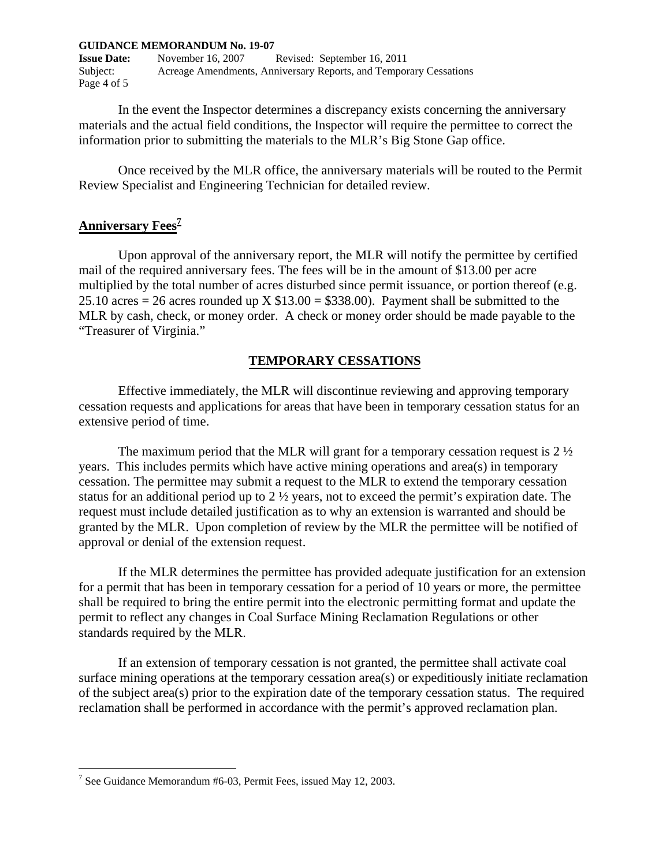#### **GUIDANCE MEMORANDUM No. 19-07**

**Issue Date:** November 16, 2007 Revised: September 16, 2011 Subject: Acreage Amendments, Anniversary Reports, and Temporary Cessations Page 4 of 5

In the event the Inspector determines a discrepancy exists concerning the anniversary materials and the actual field conditions, the Inspector will require the permittee to correct the information prior to submitting the materials to the MLR's Big Stone Gap office.

Once received by the MLR office, the anniversary materials will be routed to the Permit Review Specialist and Engineering Technician for detailed review.

# **Anniversary Fees<sup>7</sup>**

Upon approval of the anniversary report, the MLR will notify the permittee by certified mail of the required anniversary fees. The fees will be in the amount of \$13.00 per acre multiplied by the total number of acres disturbed since permit issuance, or portion thereof (e.g. 25.10 acres = 26 acres rounded up X  $$13.00 = $338.00$ ). Payment shall be submitted to the MLR by cash, check, or money order. A check or money order should be made payable to the "Treasurer of Virginia."

#### **TEMPORARY CESSATIONS**

Effective immediately, the MLR will discontinue reviewing and approving temporary cessation requests and applications for areas that have been in temporary cessation status for an extensive period of time.

The maximum period that the MLR will grant for a temporary cessation request is 2 ½ years. This includes permits which have active mining operations and area(s) in temporary cessation. The permittee may submit a request to the MLR to extend the temporary cessation status for an additional period up to 2 ½ years, not to exceed the permit's expiration date. The request must include detailed justification as to why an extension is warranted and should be granted by the MLR. Upon completion of review by the MLR the permittee will be notified of approval or denial of the extension request.

If the MLR determines the permittee has provided adequate justification for an extension for a permit that has been in temporary cessation for a period of 10 years or more, the permittee shall be required to bring the entire permit into the electronic permitting format and update the permit to reflect any changes in Coal Surface Mining Reclamation Regulations or other standards required by the MLR.

If an extension of temporary cessation is not granted, the permittee shall activate coal surface mining operations at the temporary cessation area(s) or expeditiously initiate reclamation of the subject area(s) prior to the expiration date of the temporary cessation status. The required reclamation shall be performed in accordance with the permit's approved reclamation plan.

<sup>&</sup>lt;sup>7</sup> See Guidance Memorandum #6-03, Permit Fees, issued May 12, 2003.